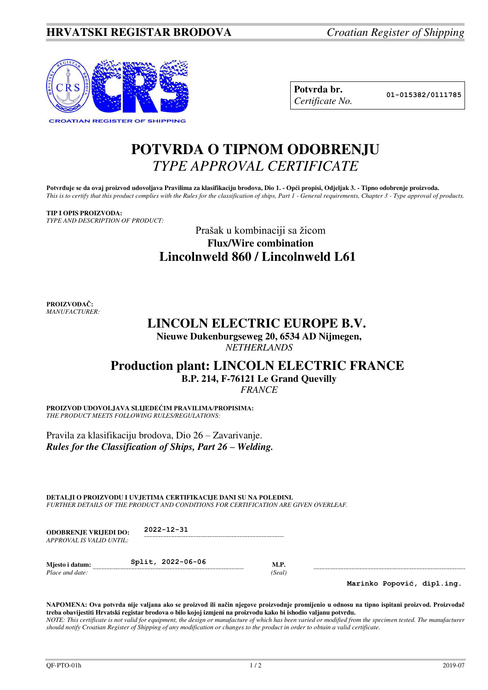

| Potvrda br.     |
|-----------------|
| Certificate No. |

**Potvrda br. 01-015382/0111785**

## **POTVRDA O TIPNOM ODOBRENJU**  *TYPE APPROVAL CERTIFICATE*

Potvrđuje se da ovaj proizvod udovoljava Pravilima za klasifikaciju brodova, Dio 1. - Opći propisi, Odjeljak 3. - Tipno odobrenje proizvoda. *This is to certify that this product complies with the Rules for the classification of ships, Part 1 - General requirements, Chapter 3 - Type approval of products.* 

## **TIP I OPIS PROIZVODA:** *TYPE AND DESCRIPTION OF PRODUCT:*

Prašak u kombinaciji sa žicom **Flux/Wire combination Lincolnweld 860 / Lincolnweld L61** 

**PROIZVOĐAČ:** *MANUFACTURER:*

## **LINCOLN ELECTRIC EUROPE B.V.**

**Nieuwe Dukenburgseweg 20, 6534 AD Nijmegen,**  *NETHERLANDS* 

## **Production plant: LINCOLN ELECTRIC FRANCE B.P. 214, F-76121 Le Grand Quevilly**

*FRANCE*

**PROIZVOD UDOVOLJAVA SLIJEDEĆIM PRAVILIMA/PROPISIMA:** *THE PRODUCT MEETS FOLLOWING RULES/REGULATIONS:* 

Pravila za klasifikaciju brodova, Dio 26 – Zavarivanje. *Rules for the Classification of Ships, Part 26 – Welding.*

**DETALJI O PROIZVODU I UVJETIMA CERTIFIKACIJE DANI SU NA POLEĐINI.**  *FURTHER DETAILS OF THE PRODUCT AND CONDITIONS FOR CERTIFICATION ARE GIVEN OVERLEAF.* 

**ODOBRENJE VRIJEDI DO: 2022-12-31** *APPROVAL IS VALID UNTIL:*

**Mjesto i datum: Split, 2022-06-06 M.P.** *Place and date:* (*Seal*) *Place and date:* 

**Marinko Popović, dipl.ing.**

**NAPOMENA: Ova potvrda nije valjana ako se proizvod ili način njegove proizvodnje promijenio u odnosu na tipno ispitani proizvod. Proizvođač treba obavijestiti Hrvatski registar brodova o bilo kojoj izmjeni na proizvodu kako bi ishodio valjanu potvrdu.**  *NOTE: This certificate is not valid for equipment, the design or manufacture of which has been varied or modified from the specimen tested. The manufacturer should notify Croatian Register of Shipping of any modification or changes to the product in order to obtain a valid certificate.*